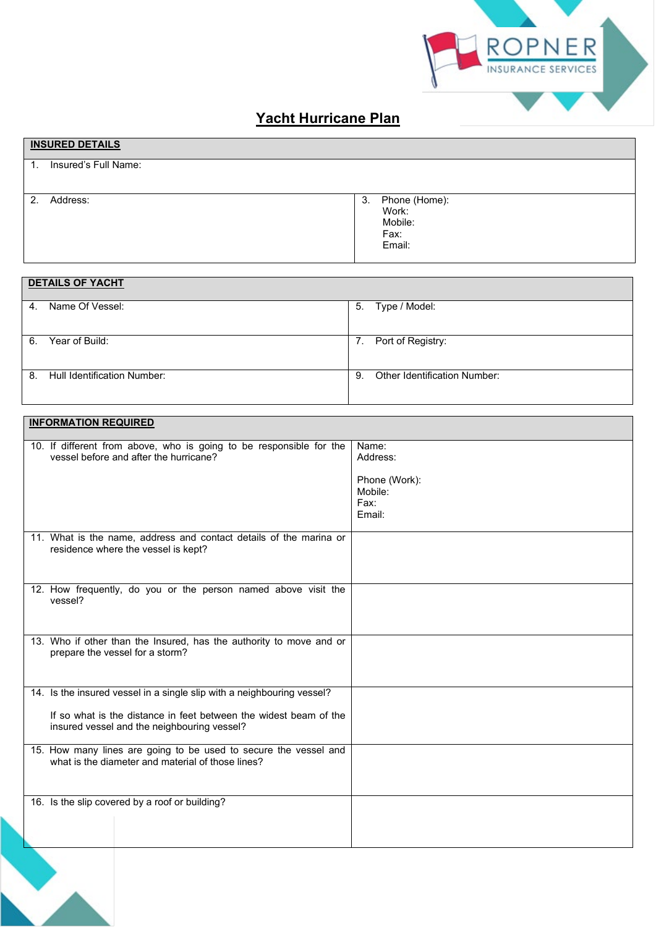

## **Yacht Hurricane Plan**

| <b>INSURED DETAILS</b>     |                                                           |
|----------------------------|-----------------------------------------------------------|
| Insured's Full Name:<br>1. |                                                           |
| Address:<br>2.             | Phone (Home):<br>3.<br>Work:<br>Mobile:<br>Fax:<br>Email: |
| <b>DETAILS OF YACHT</b>    |                                                           |
| Name Of Vessel:<br>4.      | Type / Model:<br>5.                                       |

| 6. | Year of Build:              |     | Port of Registry:                   |
|----|-----------------------------|-----|-------------------------------------|
|    |                             |     |                                     |
| 8. | Hull Identification Number: | -9. | <b>Other Identification Number:</b> |
|    |                             |     |                                     |

|         | <b>INFORMATION REQUIRED</b>                                                                                                                                                                |                                                                 |  |
|---------|--------------------------------------------------------------------------------------------------------------------------------------------------------------------------------------------|-----------------------------------------------------------------|--|
|         | 10. If different from above, who is going to be responsible for the<br>vessel before and after the hurricane?                                                                              | Name:<br>Address:<br>Phone (Work):<br>Mobile:<br>Fax:<br>Email: |  |
|         | 11. What is the name, address and contact details of the marina or<br>residence where the vessel is kept?                                                                                  |                                                                 |  |
| vessel? | 12. How frequently, do you or the person named above visit the                                                                                                                             |                                                                 |  |
|         | 13. Who if other than the Insured, has the authority to move and or<br>prepare the vessel for a storm?                                                                                     |                                                                 |  |
|         | 14. Is the insured vessel in a single slip with a neighbouring vessel?<br>If so what is the distance in feet between the widest beam of the<br>insured vessel and the neighbouring vessel? |                                                                 |  |
|         | 15. How many lines are going to be used to secure the vessel and<br>what is the diameter and material of those lines?                                                                      |                                                                 |  |
|         | 16. Is the slip covered by a roof or building?                                                                                                                                             |                                                                 |  |